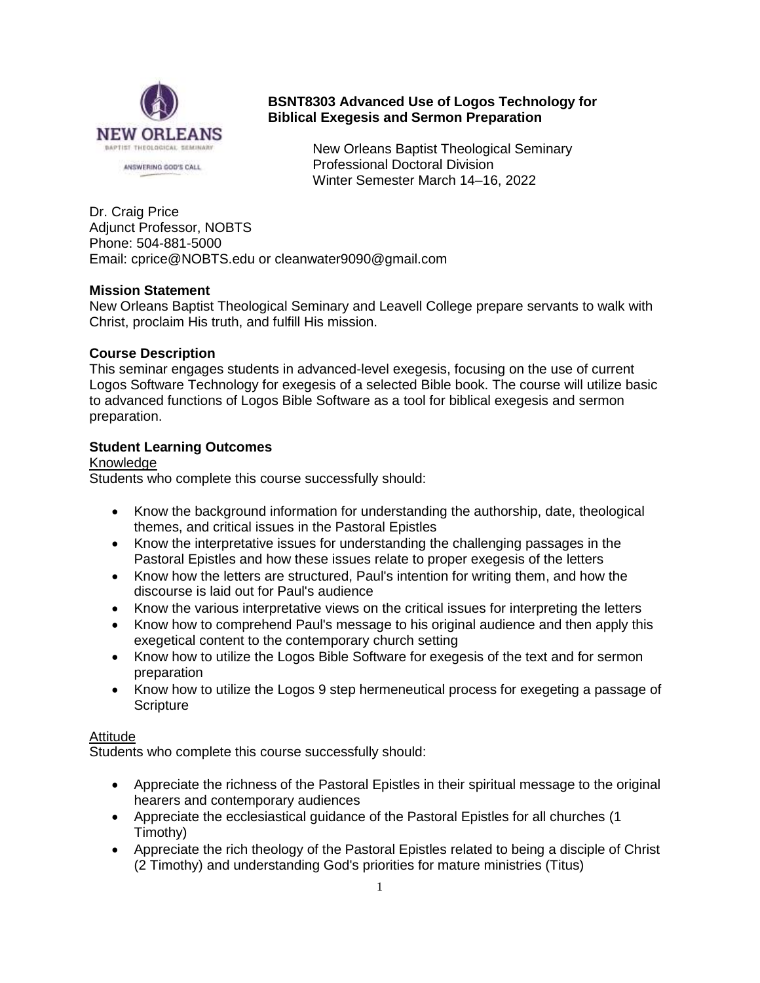

# **BSNT8303 Advanced Use of Logos Technology for Biblical Exegesis and Sermon Preparation**

New Orleans Baptist Theological Seminary Professional Doctoral Division Winter Semester March 14–16, 2022

Dr. Craig Price Adjunct Professor, NOBTS Phone: 504-881-5000 Email: cprice@NOBTS.edu or cleanwater9090@gmail.com

# **Mission Statement**

New Orleans Baptist Theological Seminary and Leavell College prepare servants to walk with Christ, proclaim His truth, and fulfill His mission.

## **Course Description**

This seminar engages students in advanced-level exegesis, focusing on the use of current Logos Software Technology for exegesis of a selected Bible book. The course will utilize basic to advanced functions of Logos Bible Software as a tool for biblical exegesis and sermon preparation.

# **Student Learning Outcomes**

## Knowledge

Students who complete this course successfully should:

- Know the background information for understanding the authorship, date, theological themes, and critical issues in the Pastoral Epistles
- Know the interpretative issues for understanding the challenging passages in the Pastoral Epistles and how these issues relate to proper exegesis of the letters
- Know how the letters are structured. Paul's intention for writing them, and how the discourse is laid out for Paul's audience
- Know the various interpretative views on the critical issues for interpreting the letters
- Know how to comprehend Paul's message to his original audience and then apply this exegetical content to the contemporary church setting
- Know how to utilize the Logos Bible Software for exegesis of the text and for sermon preparation
- Know how to utilize the Logos 9 step hermeneutical process for exegeting a passage of **Scripture**

## **Attitude**

Students who complete this course successfully should:

- Appreciate the richness of the Pastoral Epistles in their spiritual message to the original hearers and contemporary audiences
- Appreciate the ecclesiastical guidance of the Pastoral Epistles for all churches (1 Timothy)
- Appreciate the rich theology of the Pastoral Epistles related to being a disciple of Christ (2 Timothy) and understanding God's priorities for mature ministries (Titus)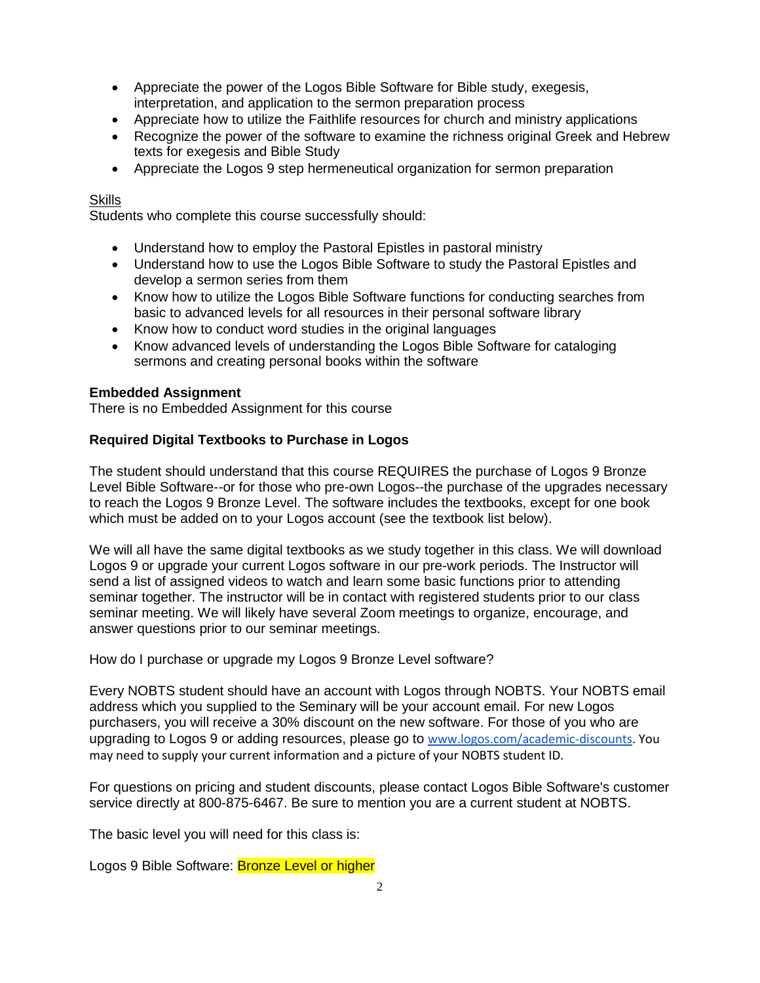- Appreciate the power of the Logos Bible Software for Bible study, exegesis, interpretation, and application to the sermon preparation process
- Appreciate how to utilize the Faithlife resources for church and ministry applications
- Recognize the power of the software to examine the richness original Greek and Hebrew texts for exegesis and Bible Study
- Appreciate the Logos 9 step hermeneutical organization for sermon preparation

# **Skills**

Students who complete this course successfully should:

- Understand how to employ the Pastoral Epistles in pastoral ministry
- Understand how to use the Logos Bible Software to study the Pastoral Epistles and develop a sermon series from them
- Know how to utilize the Logos Bible Software functions for conducting searches from basic to advanced levels for all resources in their personal software library
- Know how to conduct word studies in the original languages
- Know advanced levels of understanding the Logos Bible Software for cataloging sermons and creating personal books within the software

# **Embedded Assignment**

There is no Embedded Assignment for this course

# **Required Digital Textbooks to Purchase in Logos**

The student should understand that this course REQUIRES the purchase of Logos 9 Bronze Level Bible Software--or for those who pre-own Logos--the purchase of the upgrades necessary to reach the Logos 9 Bronze Level. The software includes the textbooks, except for one book which must be added on to your Logos account (see the textbook list below).

We will all have the same digital textbooks as we study together in this class. We will download Logos 9 or upgrade your current Logos software in our pre-work periods. The Instructor will send a list of assigned videos to watch and learn some basic functions prior to attending seminar together. The instructor will be in contact with registered students prior to our class seminar meeting. We will likely have several Zoom meetings to organize, encourage, and answer questions prior to our seminar meetings.

How do I purchase or upgrade my Logos 9 Bronze Level software?

Every NOBTS student should have an account with Logos through NOBTS. Your NOBTS email address which you supplied to the Seminary will be your account email. For new Logos purchasers, you will receive a 30% discount on the new software. For those of you who are upgrading to Logos 9 or adding resources, please go to [www.logos.com/academic-discounts.](http://www.logos.com/academic-discounts) You may need to supply your current information and a picture of your NOBTS student ID.

For questions on pricing and student discounts, please contact Logos Bible Software's customer service directly at 800-875-6467. Be sure to mention you are a current student at NOBTS.

The basic level you will need for this class is:

Logos 9 Bible Software: Bronze Level or higher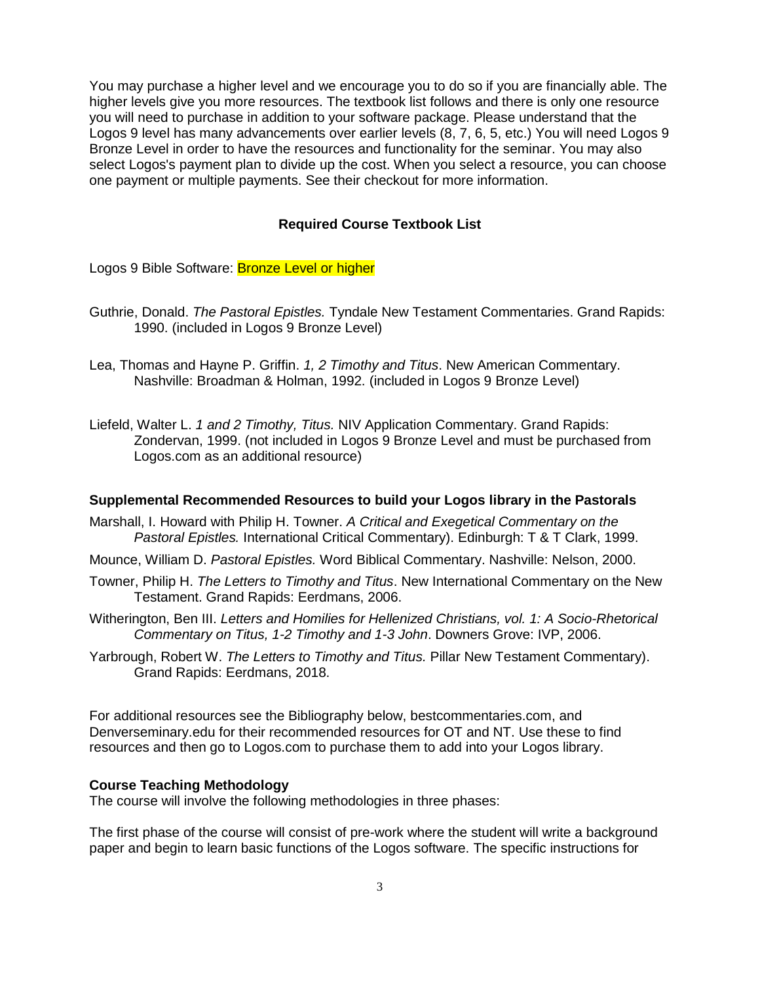You may purchase a higher level and we encourage you to do so if you are financially able. The higher levels give you more resources. The textbook list follows and there is only one resource you will need to purchase in addition to your software package. Please understand that the Logos 9 level has many advancements over earlier levels (8, 7, 6, 5, etc.) You will need Logos 9 Bronze Level in order to have the resources and functionality for the seminar. You may also select Logos's payment plan to divide up the cost. When you select a resource, you can choose one payment or multiple payments. See their checkout for more information.

### **Required Course Textbook List**

Logos 9 Bible Software: Bronze Level or higher

- Guthrie, Donald. *The Pastoral Epistles.* Tyndale New Testament Commentaries. Grand Rapids: 1990. (included in Logos 9 Bronze Level)
- Lea, Thomas and Hayne P. Griffin. *1, 2 Timothy and Titus*. New American Commentary. Nashville: Broadman & Holman, 1992. (included in Logos 9 Bronze Level)
- Liefeld, Walter L. *1 and 2 Timothy, Titus.* NIV Application Commentary. Grand Rapids: Zondervan, 1999. (not included in Logos 9 Bronze Level and must be purchased from Logos.com as an additional resource)

#### **Supplemental Recommended Resources to build your Logos library in the Pastorals**

- Marshall, I. Howard with Philip H. Towner. *A Critical and Exegetical Commentary on the Pastoral Epistles.* International Critical Commentary). Edinburgh: T & T Clark, 1999.
- Mounce, William D. *Pastoral Epistles.* Word Biblical Commentary. Nashville: Nelson, 2000.
- Towner, Philip H. *The Letters to Timothy and Titus*. New International Commentary on the New Testament. Grand Rapids: Eerdmans, 2006.
- Witherington, Ben III. *Letters and Homilies for Hellenized Christians, vol. 1: A Socio-Rhetorical Commentary on Titus, 1-2 Timothy and 1-3 John*. Downers Grove: IVP, 2006.
- Yarbrough, Robert W. *The Letters to Timothy and Titus.* Pillar New Testament Commentary). Grand Rapids: Eerdmans, 2018.

For additional resources see the Bibliography below, bestcommentaries.com, and Denverseminary.edu for their recommended resources for OT and NT. Use these to find resources and then go to Logos.com to purchase them to add into your Logos library.

### **Course Teaching Methodology**

The course will involve the following methodologies in three phases:

The first phase of the course will consist of pre-work where the student will write a background paper and begin to learn basic functions of the Logos software. The specific instructions for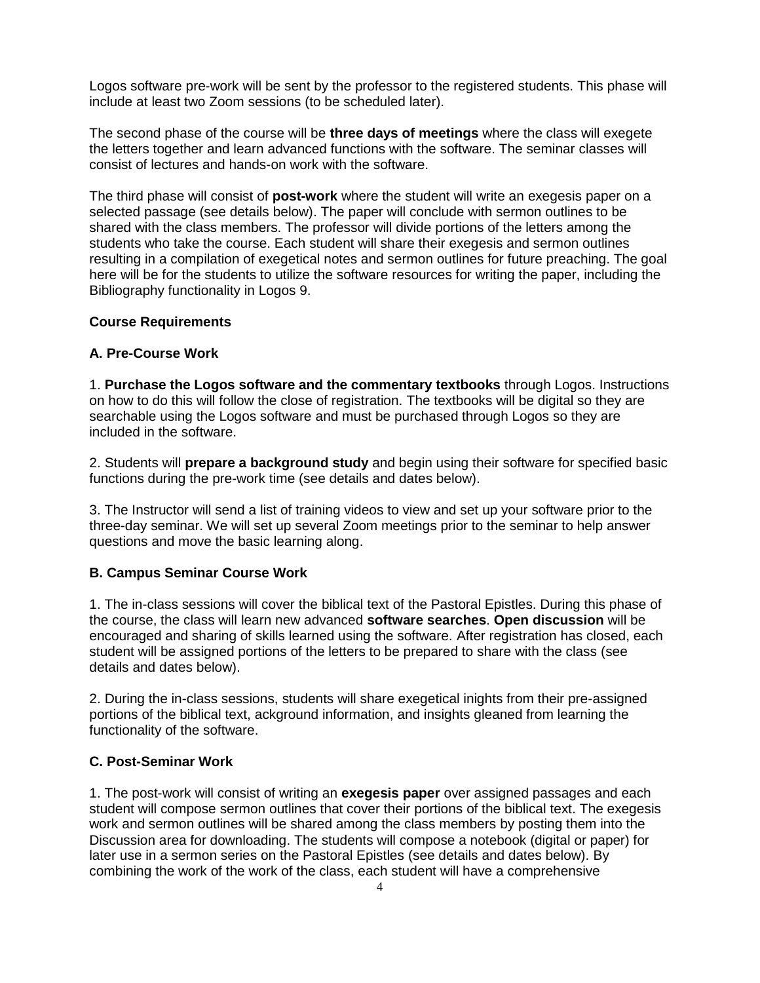Logos software pre-work will be sent by the professor to the registered students. This phase will include at least two Zoom sessions (to be scheduled later).

The second phase of the course will be **three days of meetings** where the class will exegete the letters together and learn advanced functions with the software. The seminar classes will consist of lectures and hands-on work with the software.

The third phase will consist of **post-work** where the student will write an exegesis paper on a selected passage (see details below). The paper will conclude with sermon outlines to be shared with the class members. The professor will divide portions of the letters among the students who take the course. Each student will share their exegesis and sermon outlines resulting in a compilation of exegetical notes and sermon outlines for future preaching. The goal here will be for the students to utilize the software resources for writing the paper, including the Bibliography functionality in Logos 9.

## **Course Requirements**

## **A. Pre-Course Work**

1. **Purchase the Logos software and the commentary textbooks** through Logos. Instructions on how to do this will follow the close of registration. The textbooks will be digital so they are searchable using the Logos software and must be purchased through Logos so they are included in the software.

2. Students will **prepare a background study** and begin using their software for specified basic functions during the pre-work time (see details and dates below).

3. The Instructor will send a list of training videos to view and set up your software prior to the three-day seminar. We will set up several Zoom meetings prior to the seminar to help answer questions and move the basic learning along.

### **B. Campus Seminar Course Work**

1. The in-class sessions will cover the biblical text of the Pastoral Epistles. During this phase of the course, the class will learn new advanced **software searches**. **Open discussion** will be encouraged and sharing of skills learned using the software. After registration has closed, each student will be assigned portions of the letters to be prepared to share with the class (see details and dates below).

2. During the in-class sessions, students will share exegetical inights from their pre-assigned portions of the biblical text, ackground information, and insights gleaned from learning the functionality of the software.

## **C. Post-Seminar Work**

1. The post-work will consist of writing an **exegesis paper** over assigned passages and each student will compose sermon outlines that cover their portions of the biblical text. The exegesis work and sermon outlines will be shared among the class members by posting them into the Discussion area for downloading. The students will compose a notebook (digital or paper) for later use in a sermon series on the Pastoral Epistles (see details and dates below). By combining the work of the work of the class, each student will have a comprehensive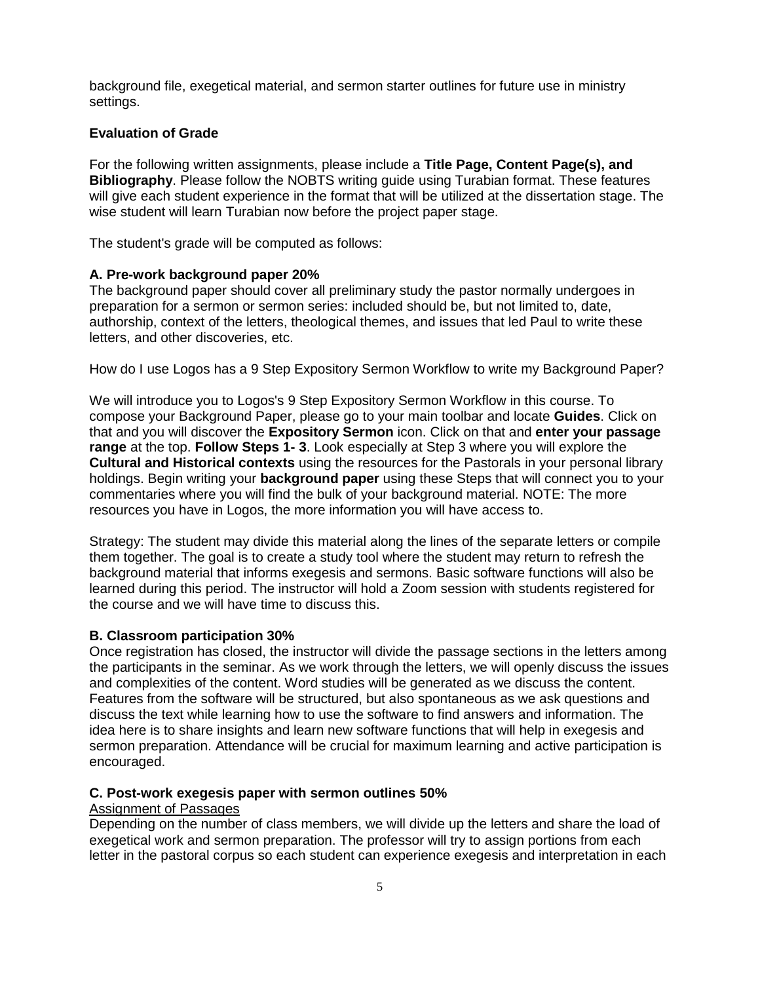background file, exegetical material, and sermon starter outlines for future use in ministry settings.

### **Evaluation of Grade**

For the following written assignments, please include a **Title Page, Content Page(s), and Bibliography**. Please follow the NOBTS writing guide using Turabian format. These features will give each student experience in the format that will be utilized at the dissertation stage. The wise student will learn Turabian now before the project paper stage.

The student's grade will be computed as follows:

#### **A. Pre-work background paper 20%**

The background paper should cover all preliminary study the pastor normally undergoes in preparation for a sermon or sermon series: included should be, but not limited to, date, authorship, context of the letters, theological themes, and issues that led Paul to write these letters, and other discoveries, etc.

How do I use Logos has a 9 Step Expository Sermon Workflow to write my Background Paper?

We will introduce you to Logos's 9 Step Expository Sermon Workflow in this course. To compose your Background Paper, please go to your main toolbar and locate **Guides**. Click on that and you will discover the **Expository Sermon** icon. Click on that and **enter your passage range** at the top. **Follow Steps 1- 3**. Look especially at Step 3 where you will explore the **Cultural and Historical contexts** using the resources for the Pastorals in your personal library holdings. Begin writing your **background paper** using these Steps that will connect you to your commentaries where you will find the bulk of your background material. NOTE: The more resources you have in Logos, the more information you will have access to.

Strategy: The student may divide this material along the lines of the separate letters or compile them together. The goal is to create a study tool where the student may return to refresh the background material that informs exegesis and sermons. Basic software functions will also be learned during this period. The instructor will hold a Zoom session with students registered for the course and we will have time to discuss this.

#### **B. Classroom participation 30%**

Once registration has closed, the instructor will divide the passage sections in the letters among the participants in the seminar. As we work through the letters, we will openly discuss the issues and complexities of the content. Word studies will be generated as we discuss the content. Features from the software will be structured, but also spontaneous as we ask questions and discuss the text while learning how to use the software to find answers and information. The idea here is to share insights and learn new software functions that will help in exegesis and sermon preparation. Attendance will be crucial for maximum learning and active participation is encouraged.

### **C. Post-work exegesis paper with sermon outlines 50%**

#### Assignment of Passages

Depending on the number of class members, we will divide up the letters and share the load of exegetical work and sermon preparation. The professor will try to assign portions from each letter in the pastoral corpus so each student can experience exegesis and interpretation in each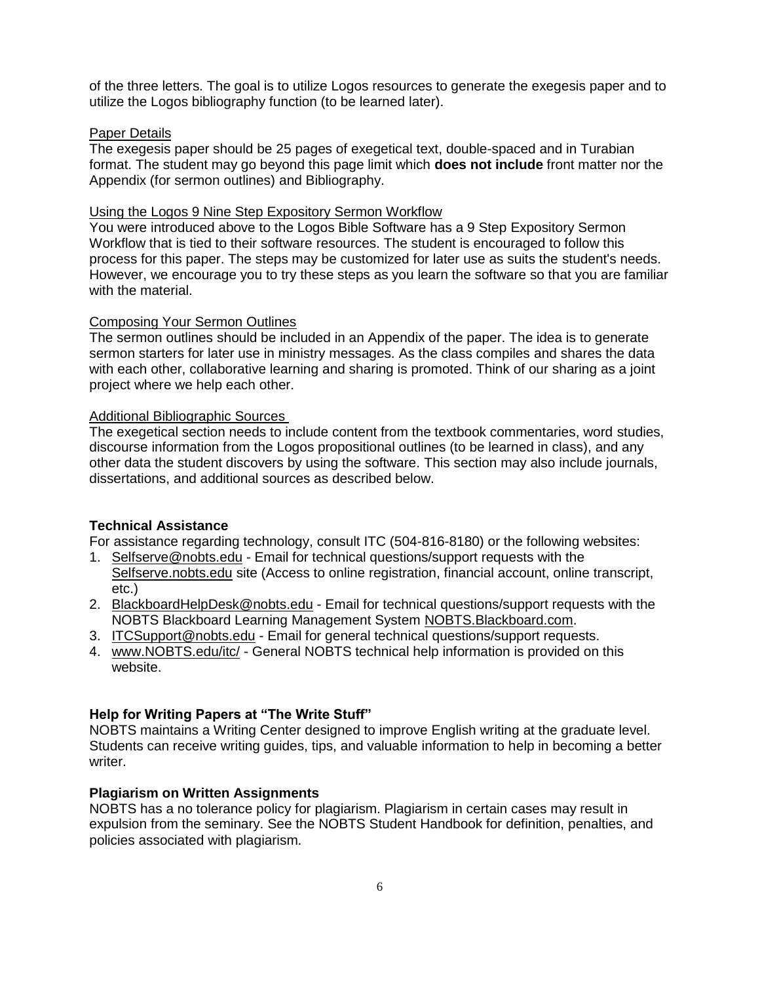of the three letters. The goal is to utilize Logos resources to generate the exegesis paper and to utilize the Logos bibliography function (to be learned later).

### Paper Details

The exegesis paper should be 25 pages of exegetical text, double-spaced and in Turabian format. The student may go beyond this page limit which **does not include** front matter nor the Appendix (for sermon outlines) and Bibliography.

#### Using the Logos 9 Nine Step Expository Sermon Workflow

You were introduced above to the Logos Bible Software has a 9 Step Expository Sermon Workflow that is tied to their software resources. The student is encouraged to follow this process for this paper. The steps may be customized for later use as suits the student's needs. However, we encourage you to try these steps as you learn the software so that you are familiar with the material.

## Composing Your Sermon Outlines

The sermon outlines should be included in an Appendix of the paper. The idea is to generate sermon starters for later use in ministry messages. As the class compiles and shares the data with each other, collaborative learning and sharing is promoted. Think of our sharing as a joint project where we help each other.

#### Additional Bibliographic Sources

The exegetical section needs to include content from the textbook commentaries, word studies, discourse information from the Logos propositional outlines (to be learned in class), and any other data the student discovers by using the software. This section may also include journals, dissertations, and additional sources as described below.

### **Technical Assistance**

For assistance regarding technology, consult ITC (504-816-8180) or the following websites:

- 1. Selfserve@nobts.edu Email for technical questions/support requests with the Selfserve.nobts.edu site (Access to online registration, financial account, online transcript, etc.)
- 2. BlackboardHelpDesk@nobts.edu Email for technical questions/support requests with the NOBTS Blackboard Learning Management System NOBTS.Blackboard.com.
- 3. ITCSupport@nobts.edu Email for general technical questions/support requests.
- 4. www.NOBTS.edu/itc/ General NOBTS technical help information is provided on this website.

#### **Help for Writing Papers at "The Write Stuff"**

NOBTS maintains a Writing Center designed to improve English writing at the graduate level. Students can receive writing guides, tips, and valuable information to help in becoming a better writer.

# **Plagiarism on Written Assignments**

NOBTS has a no tolerance policy for plagiarism. Plagiarism in certain cases may result in expulsion from the seminary. See the NOBTS Student Handbook for definition, penalties, and policies associated with plagiarism.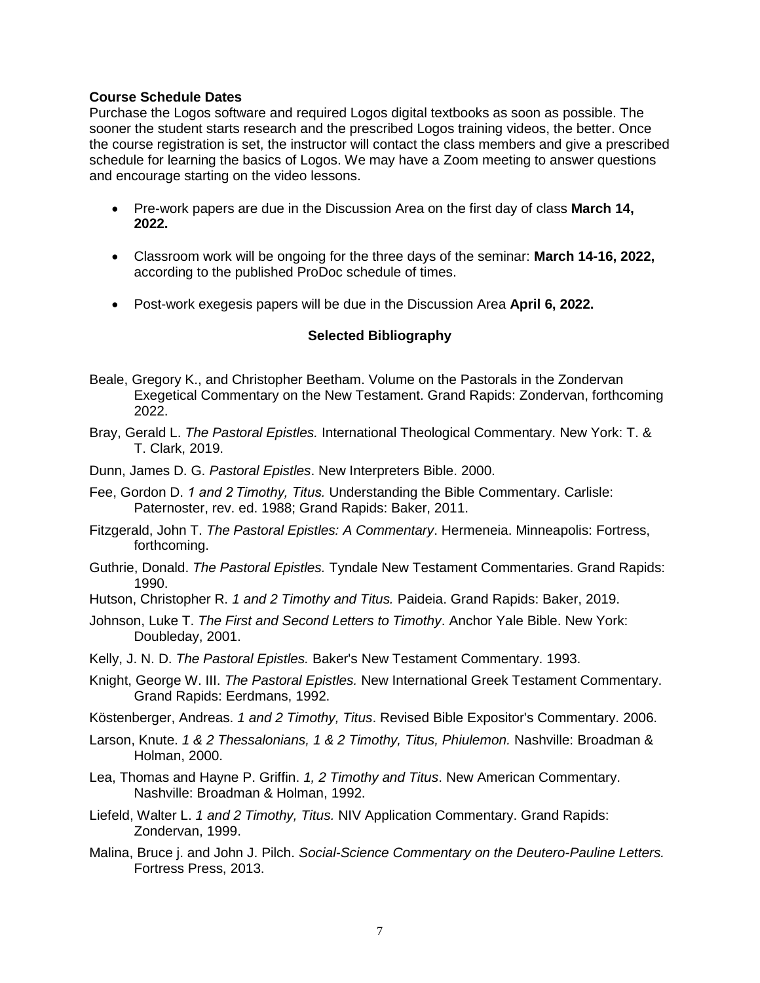## **Course Schedule Dates**

Purchase the Logos software and required Logos digital textbooks as soon as possible. The sooner the student starts research and the prescribed Logos training videos, the better. Once the course registration is set, the instructor will contact the class members and give a prescribed schedule for learning the basics of Logos. We may have a Zoom meeting to answer questions and encourage starting on the video lessons.

- Pre-work papers are due in the Discussion Area on the first day of class **March 14, 2022.**
- Classroom work will be ongoing for the three days of the seminar: **March 14-16, 2022,** according to the published ProDoc schedule of times.
- Post-work exegesis papers will be due in the Discussion Area **April 6, 2022.**

## **Selected Bibliography**

- Beale, Gregory K., and Christopher Beetham. Volume on the Pastorals in the Zondervan Exegetical Commentary on the New Testament. Grand Rapids: Zondervan, forthcoming 2022.
- Bray, Gerald L. *The Pastoral Epistles.* International Theological Commentary. New York: T. & T. Clark, 2019.
- Dunn, James D. G. *Pastoral Epistles*. New Interpreters Bible. 2000.
- Fee, Gordon D. *1 and 2 Timothy, Titus.* Understanding the Bible Commentary. Carlisle: Paternoster, rev. ed. 1988; Grand Rapids: Baker, 2011.
- Fitzgerald, John T. *The Pastoral Epistles: A Commentary*. Hermeneia. Minneapolis: Fortress, forthcoming.
- Guthrie, Donald. *The Pastoral Epistles.* Tyndale New Testament Commentaries. Grand Rapids: 1990.
- Hutson, Christopher R. *1 and 2 Timothy and Titus.* Paideia. Grand Rapids: Baker, 2019.
- Johnson, Luke T. *The First and Second Letters to Timothy*. Anchor Yale Bible. New York: Doubleday, 2001.
- Kelly, J. N. D. *The Pastoral Epistles.* Baker's New Testament Commentary. 1993.
- Knight, George W. III. *The Pastoral Epistles.* New International Greek Testament Commentary. Grand Rapids: Eerdmans, 1992.
- Köstenberger, Andreas. *1 and 2 Timothy, Titus*. Revised Bible Expositor's Commentary. 2006.
- Larson, Knute. *1 & 2 Thessalonians, 1 & 2 Timothy, Titus, Phiulemon.* Nashville: Broadman & Holman, 2000.
- Lea, Thomas and Hayne P. Griffin. *1, 2 Timothy and Titus*. New American Commentary. Nashville: Broadman & Holman, 1992.
- Liefeld, Walter L. *1 and 2 Timothy, Titus.* NIV Application Commentary. Grand Rapids: Zondervan, 1999.
- Malina, Bruce j. and John J. Pilch. *Social-Science Commentary on the Deutero-Pauline Letters.*  Fortress Press, 2013.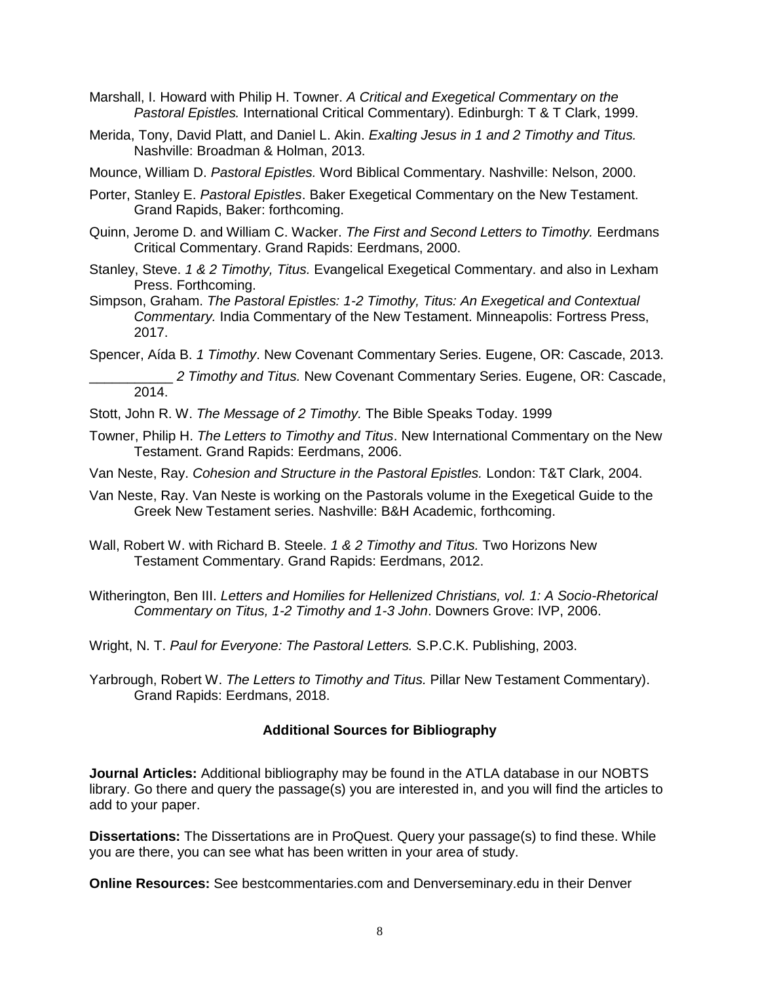- Marshall, I. Howard with Philip H. Towner. *A Critical and Exegetical Commentary on the Pastoral Epistles.* International Critical Commentary). Edinburgh: T & T Clark, 1999.
- Merida, Tony, David Platt, and Daniel L. Akin. *Exalting Jesus in 1 and 2 Timothy and Titus.* Nashville: Broadman & Holman, 2013.
- Mounce, William D. *Pastoral Epistles.* Word Biblical Commentary. Nashville: Nelson, 2000.
- Porter, Stanley E. *Pastoral Epistles*. Baker Exegetical Commentary on the New Testament. Grand Rapids, Baker: forthcoming.
- Quinn, Jerome D. and William C. Wacker. *The First and Second Letters to Timothy.* Eerdmans Critical Commentary. Grand Rapids: Eerdmans, 2000.
- Stanley, Steve. *1 & 2 Timothy, Titus.* Evangelical Exegetical Commentary. and also in Lexham Press. Forthcoming.
- Simpson, Graham. *The Pastoral Epistles: 1-2 Timothy, Titus: An Exegetical and Contextual Commentary.* India Commentary of the New Testament. Minneapolis: Fortress Press, 2017.
- Spencer, Aída B. *1 Timothy*. New Covenant Commentary Series. Eugene, OR: Cascade, 2013.
	- \_\_\_\_\_\_\_\_\_\_\_ *2 Timothy and Titus.* New Covenant Commentary Series. Eugene, OR: Cascade, 2014.
- Stott, John R. W. *The Message of 2 Timothy.* The Bible Speaks Today. 1999
- Towner, Philip H. *The Letters to Timothy and Titus*. New International Commentary on the New Testament. Grand Rapids: Eerdmans, 2006.
- Van Neste, Ray. *Cohesion and Structure in the Pastoral Epistles.* London: T&T Clark, 2004.
- Van Neste, Ray. Van Neste is working on the Pastorals volume in the Exegetical Guide to the Greek New Testament series. Nashville: B&H Academic, forthcoming.
- Wall, Robert W. with Richard B. Steele. *1 & 2 Timothy and Titus.* Two Horizons New Testament Commentary. Grand Rapids: Eerdmans, 2012.
- Witherington, Ben III. *Letters and Homilies for Hellenized Christians, vol. 1: A Socio-Rhetorical Commentary on Titus, 1-2 Timothy and 1-3 John*. Downers Grove: IVP, 2006.
- Wright, N. T. *Paul for Everyone: The Pastoral Letters.* S.P.C.K. Publishing, 2003.
- Yarbrough, Robert W. *The Letters to Timothy and Titus.* Pillar New Testament Commentary). Grand Rapids: Eerdmans, 2018.

## **Additional Sources for Bibliography**

**Journal Articles:** Additional bibliography may be found in the ATLA database in our NOBTS library. Go there and query the passage(s) you are interested in, and you will find the articles to add to your paper.

**Dissertations:** The Dissertations are in ProQuest. Query your passage(s) to find these. While you are there, you can see what has been written in your area of study.

**Online Resources:** See bestcommentaries.com and Denverseminary.edu in their Denver